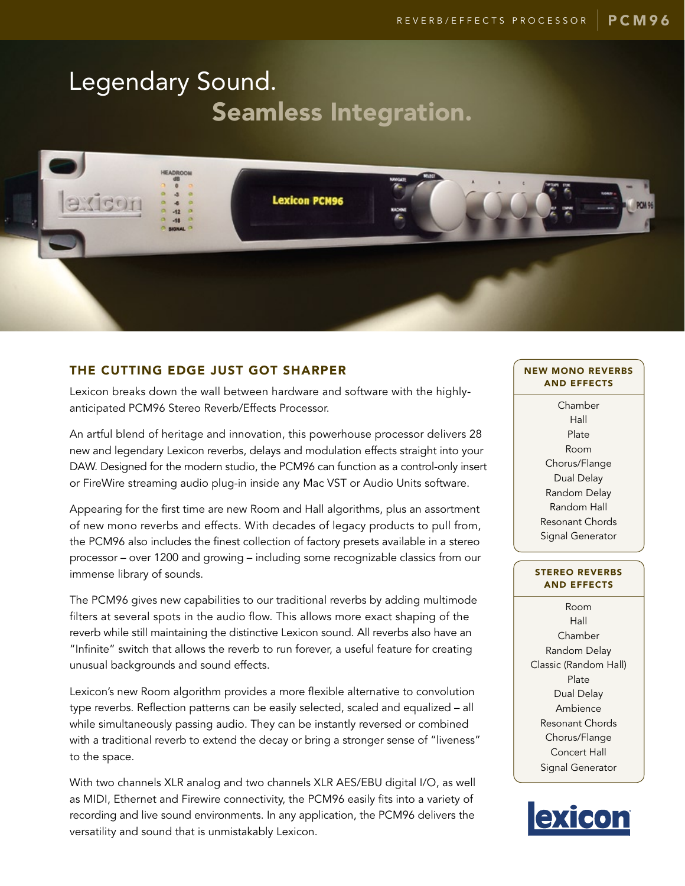# Legendary Sound. Seamless Integration.



# THE CUTTING EDGE JUST GOT SHARPER

Lexicon breaks down the wall between hardware and software with the highlyanticipated PCM96 Stereo Reverb/Effects Processor.

An artful blend of heritage and innovation, this powerhouse processor delivers 28 new and legendary Lexicon reverbs, delays and modulation effects straight into your DAW. Designed for the modern studio, the PCM96 can function as a control-only insert or FireWire streaming audio plug-in inside any Mac VST or Audio Units software.

Appearing for the first time are new Room and Hall algorithms, plus an assortment of new mono reverbs and effects. With decades of legacy products to pull from, the PCM96 also includes the finest collection of factory presets available in a stereo processor – over 1200 and growing – including some recognizable classics from our immense library of sounds.

The PCM96 gives new capabilities to our traditional reverbs by adding multimode filters at several spots in the audio flow. This allows more exact shaping of the reverb while still maintaining the distinctive Lexicon sound. All reverbs also have an "Infinite" switch that allows the reverb to run forever, a useful feature for creating unusual backgrounds and sound effects.

Lexicon's new Room algorithm provides a more flexible alternative to convolution type reverbs. Reflection patterns can be easily selected, scaled and equalized – all while simultaneously passing audio. They can be instantly reversed or combined with a traditional reverb to extend the decay or bring a stronger sense of "liveness" to the space.

With two channels XLR analog and two channels XLR AES/EBU digital I/O, as well as MIDI, Ethernet and Firewire connectivity, the PCM96 easily fits into a variety of recording and live sound environments. In any application, the PCM96 delivers the versatility and sound that is unmistakably Lexicon.

# NEW MONO REVERBS AND EFFECTS

Chamber Hall Plate Room Chorus/Flange Dual Delay Random Delay Random Hall Resonant Chords Signal Generator

# STEREO REVERBS AND EFFECTS

Room Hall Chamber Random Delay Classic (Random Hall) Plate Dual Delay Ambience Resonant Chords Chorus/Flange Concert Hall Signal Generator